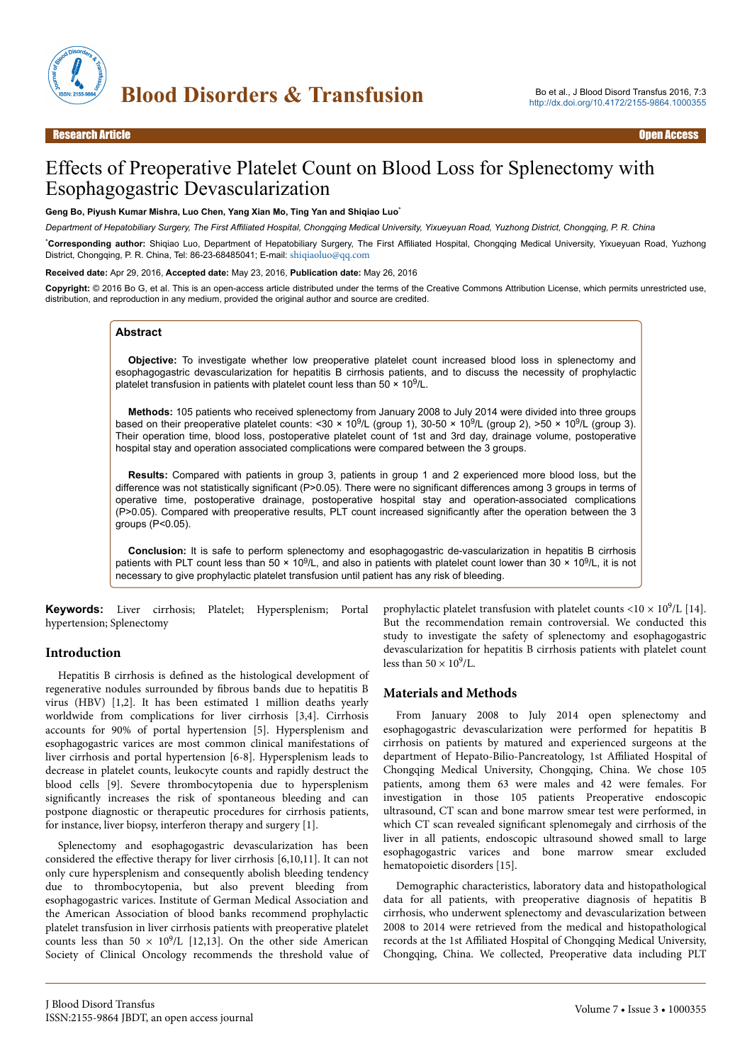

# Effects of Preoperative Platelet Count on Blood Loss for Splenectomy with Esophagogastric Devascularization

#### **Geng Bo, Piyush Kumar Mishra, Luo Chen, Yang Xian Mo, Ting Yan and Shiqiao Luo**\*

*Department of Hepatobiliary Surgery, The First Affiliated Hospital, Chongqing Medical University, Yixueyuan Road, Yuzhong District, Chongqing, P. R. China*

\***Corresponding author:** Shiqiao Luo, Department of Hepatobiliary Surgery, The First Affiliated Hospital, Chongqing Medical University, Yixueyuan Road, Yuzhong District, Chongqing, P. R. China, Tel: 86-23-68485041; E-mail: [shiqiaoluo@qq.com](mailto:shiqiaoluo@qq.com)

#### **Received date:** Apr 29, 2016, **Accepted date:** May 23, 2016, **Publication date:** May 26, 2016

**Copyright:** © 2016 Bo G, et al. This is an open-access article distributed under the terms of the Creative Commons Attribution License, which permits unrestricted use, distribution, and reproduction in any medium, provided the original author and source are credited.

#### **Abstract**

**Objective:** To investigate whether low preoperative platelet count increased blood loss in splenectomy and esophagogastric devascularization for hepatitis B cirrhosis patients, and to discuss the necessity of prophylactic platelet transfusion in patients with platelet count less than  $50 \times 10^9$ /L.

**Methods:** 105 patients who received splenectomy from January 2008 to July 2014 were divided into three groups based on their preoperative platelet counts: <30  $\times$  10<sup>9</sup>/L (group 1), 30-50  $\times$  10<sup>9</sup>/L (group 2), >50  $\times$  10<sup>9</sup>/L (group 3). Their operation time, blood loss, postoperative platelet count of 1st and 3rd day, drainage volume, postoperative hospital stay and operation associated complications were compared between the 3 groups.

**Results:** Compared with patients in group 3, patients in group 1 and 2 experienced more blood loss, but the difference was not statistically significant (P>0.05). There were no significant differences among 3 groups in terms of operative time, postoperative drainage, postoperative hospital stay and operation-associated complications (P>0.05). Compared with preoperative results, PLT count increased significantly after the operation between the 3 groups (P<0.05).

**Conclusion:** It is safe to perform splenectomy and esophagogastric de-vascularization in hepatitis B cirrhosis patients with PLT count less than 50  $\times$  10<sup>9</sup>/L, and also in patients with platelet count lower than 30  $\times$  10<sup>9</sup>/L, it is not necessary to give prophylactic platelet transfusion until patient has any risk of bleeding.

**Keywords:** Liver cirrhosis; Platelet; Hypersplenism; Portal hypertension; Splenectomy

#### **Introduction**

Hepatitis B cirrhosis is defined as the histological development of regenerative nodules surrounded by fibrous bands due to hepatitis B virus (HBV) [1,2]. It has been estimated 1 million deaths yearly worldwide from complications for liver cirrhosis [3,4]. Cirrhosis accounts for 90% of portal hypertension [5]. Hypersplenism and esophagogastric varices are most common clinical manifestations of liver cirrhosis and portal hypertension [6-8]. Hypersplenism leads to decrease in platelet counts, leukocyte counts and rapidly destruct the blood cells [9]. Severe thrombocytopenia due to hypersplenism significantly increases the risk of spontaneous bleeding and can postpone diagnostic or therapeutic procedures for cirrhosis patients, for instance, liver biopsy, interferon therapy and surgery [1].

Splenectomy and esophagogastric devascularization has been considered the effective therapy for liver cirrhosis [6,10,11]. It can not only cure hypersplenism and consequently abolish bleeding tendency due to thrombocytopenia, but also prevent bleeding from esophagogastric varices. Institute of German Medical Association and the American Association of blood banks recommend prophylactic platelet transfusion in liver cirrhosis patients with preoperative platelet counts less than  $50 \times 10^9$ /L [12,13]. On the other side American Society of Clinical Oncology recommends the threshold value of prophylactic platelet transfusion with platelet counts < $10 \times 10^9$ /L [14]. But the recommendation remain controversial. We conducted this study to investigate the safety of splenectomy and esophagogastric devascularization for hepatitis B cirrhosis patients with platelet count less than  $50 \times 10^9$ /L.

## **Materials and Methods**

From January 2008 to July 2014 open splenectomy and esophagogastric devascularization were performed for hepatitis B cirrhosis on patients by matured and experienced surgeons at the department of Hepato-Bilio-Pancreatology, 1st Affiliated Hospital of Chongqing Medical University, Chongqing, China. We chose 105 patients, among them 63 were males and 42 were females. For investigation in those 105 patients Preoperative endoscopic ultrasound, CT scan and bone marrow smear test were performed, in which CT scan revealed significant splenomegaly and cirrhosis of the liver in all patients, endoscopic ultrasound showed small to large esophagogastric varices and bone marrow smear excluded hematopoietic disorders [15].

Demographic characteristics, laboratory data and histopathological data for all patients, with preoperative diagnosis of hepatitis B cirrhosis, who underwent splenectomy and devascularization between 2008 to 2014 were retrieved from the medical and histopathological records at the 1st Affiliated Hospital of Chongqing Medical University, Chongqing, China. We collected, Preoperative data including PLT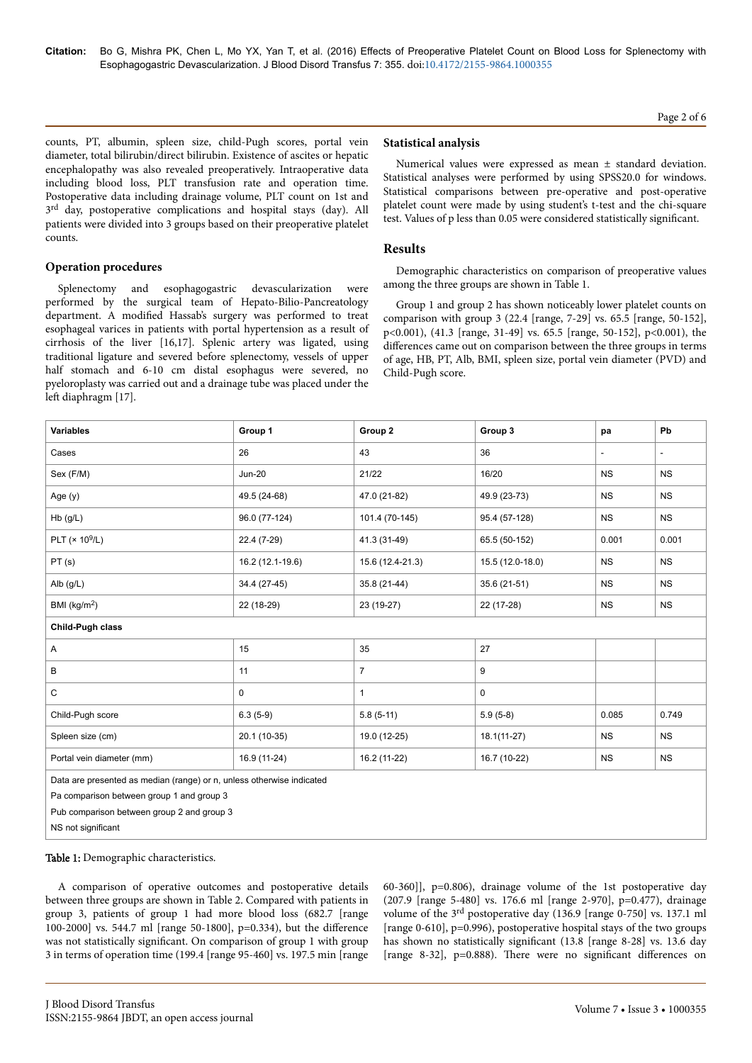### Page 2 of 6

counts, PT, albumin, spleen size, child-Pugh scores, portal vein diameter, total bilirubin/direct bilirubin. Existence of ascites or hepatic encephalopathy was also revealed preoperatively. Intraoperative data including blood loss, PLT transfusion rate and operation time. Postoperative data including drainage volume, PLT count on 1st and 3<sup>rd</sup> day, postoperative complications and hospital stays (day). All patients were divided into 3 groups based on their preoperative platelet counts.

### **Operation procedures**

Splenectomy and esophagogastric devascularization were performed by the surgical team of Hepato-Bilio-Pancreatology department. A modified Hassab's surgery was performed to treat esophageal varices in patients with portal hypertension as a result of cirrhosis of the liver [16,17]. Splenic artery was ligated, using traditional ligature and severed before splenectomy, vessels of upper half stomach and 6-10 cm distal esophagus were severed, no pyeloroplasty was carried out and a drainage tube was placed under the left diaphragm [17].

#### **Statistical analysis**

Numerical values were expressed as mean ± standard deviation. Statistical analyses were performed by using SPSS20.0 for windows. Statistical comparisons between pre-operative and post-operative platelet count were made by using student's t-test and the chi-square test. Values of p less than 0.05 were considered statistically significant

#### **Results**

Demographic characteristics on comparison of preoperative values among the three groups are shown in Table 1.

Group 1 and group 2 has shown noticeably lower platelet counts on comparison with group 3 (22.4 [range, 7-29] vs. 65.5 [range, 50-152], p<0.001), (41.3 [range, 31-49] vs. 65.5 [range, 50-152], p<0.001), the differences came out on comparison between the three groups in terms of age, HB, PT, Alb, BMI, spleen size, portal vein diameter (PVD) and Child-Pugh score.

| <b>Variables</b>                                                                                                   | Group 1          | Group 2          | Group 3          | pa                       | Pb        |  |
|--------------------------------------------------------------------------------------------------------------------|------------------|------------------|------------------|--------------------------|-----------|--|
| Cases                                                                                                              | 26               | 43               | 36               | $\overline{\phantom{a}}$ | $\sim$    |  |
| Sex (F/M)                                                                                                          | <b>Jun-20</b>    | 21/22            | 16/20            | <b>NS</b>                | <b>NS</b> |  |
| Age (y)                                                                                                            | 49.5 (24-68)     | 47.0 (21-82)     | 49.9 (23-73)     | <b>NS</b>                | <b>NS</b> |  |
| $Hb$ (g/L)                                                                                                         | 96.0 (77-124)    | 101.4 (70-145)   | 95.4 (57-128)    | NS                       | <b>NS</b> |  |
| PLT $(x 10^9/L)$                                                                                                   | 22.4 (7-29)      | 41.3 (31-49)     | 65.5 (50-152)    | 0.001                    | 0.001     |  |
| PT(s)                                                                                                              | 16.2 (12.1-19.6) | 15.6 (12.4-21.3) | 15.5 (12.0-18.0) | <b>NS</b>                | <b>NS</b> |  |
| Alb (g/L)                                                                                                          | 34.4 (27-45)     | 35.8 (21-44)     | 35.6 (21-51)     | <b>NS</b>                | <b>NS</b> |  |
| BMI ( $kg/m2$ )                                                                                                    | 22 (18-29)       | 23 (19-27)       | 22 (17-28)       | <b>NS</b>                | <b>NS</b> |  |
| Child-Pugh class                                                                                                   |                  |                  |                  |                          |           |  |
| Α                                                                                                                  | 15               | 35               | 27               |                          |           |  |
| B                                                                                                                  | 11               | $\overline{7}$   | 9                |                          |           |  |
| C                                                                                                                  | 0                | $\mathbf{1}$     | $\mathbf 0$      |                          |           |  |
| Child-Pugh score                                                                                                   | $6.3(5-9)$       | $5.8(5-11)$      | $5.9(5-8)$       | 0.085                    | 0.749     |  |
| Spleen size (cm)                                                                                                   | 20.1 (10-35)     | 19.0 (12-25)     | $18.1(11-27)$    | <b>NS</b>                | <b>NS</b> |  |
| Portal vein diameter (mm)                                                                                          | 16.9 (11-24)     | 16.2 (11-22)     | 16.7 (10-22)     | <b>NS</b>                | <b>NS</b> |  |
| Data are presented as median (range) or n, unless otherwise indicated<br>Pa comparison between group 1 and group 3 |                  |                  |                  |                          |           |  |

Pub comparison between group 2 and group 3

NS not significant

Table 1: Demographic characteristics.

A comparison of operative outcomes and postoperative details between three groups are shown in Table 2. Compared with patients in group 3, patients of group 1 had more blood loss (682.7 [range 100-2000] vs. 544.7 ml [range 50-1800], p=0.334), but the difference was not statistically significant. On comparison of group 1 with group 3 in terms of operation time (199.4 [range 95-460] vs. 197.5 min [range 60-360]], p=0.806), drainage volume of the 1st postoperative day (207.9 [range 5-480] vs. 176.6 ml [range 2-970], p=0.477), drainage volume of the 3rd postoperative day (136.9 [range 0-750] vs. 137.1 ml [range 0-610], p=0.996), postoperative hospital stays of the two groups has shown no statistically significant (13.8 [range 8-28] vs. 13.6 day [range 8-32], p=0.888). There were no significant differences on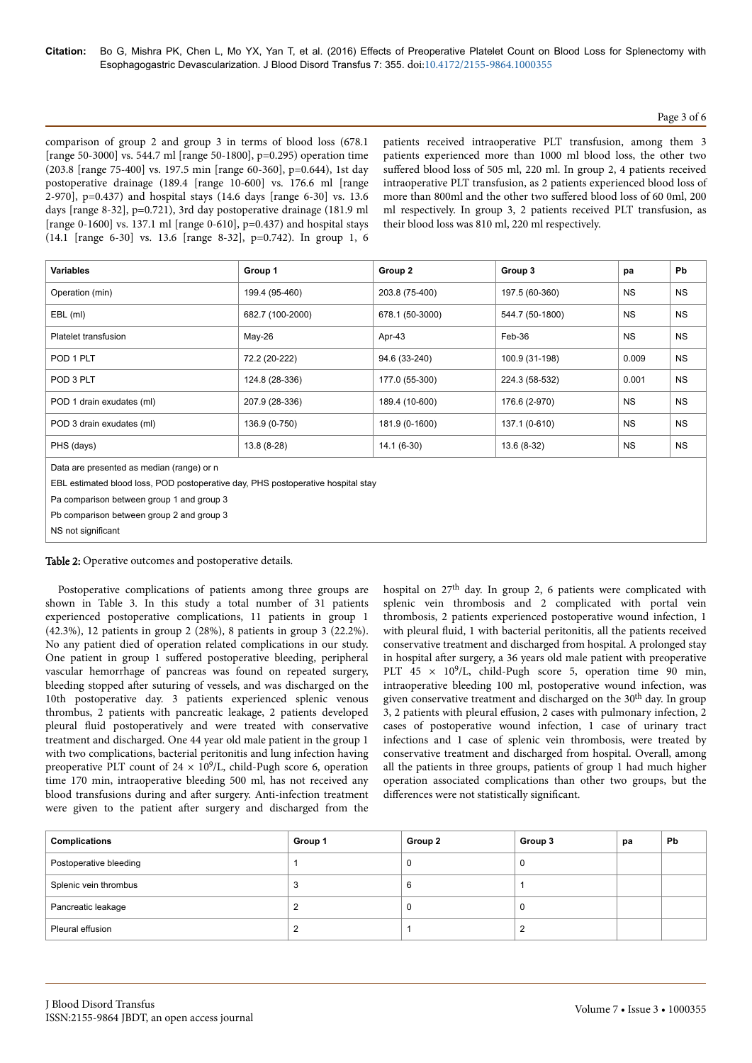# Page 3 of 6

comparison of group 2 and group 3 in terms of blood loss (678.1 [range 50-3000] vs. 544.7 ml [range 50-1800], p=0.295) operation time (203.8 [range 75-400] vs. 197.5 min [range 60-360], p=0.644), 1st day postoperative drainage (189.4 [range 10-600] vs. 176.6 ml [range 2-970], p=0.437) and hospital stays (14.6 days [range 6-30] vs. 13.6 days [range 8-32], p=0.721), 3rd day postoperative drainage (181.9 ml [range 0-1600] vs. 137.1 ml [range 0-610],  $p=0.437$  and hospital stays (14.1 [range 6-30] vs. 13.6 [range 8-32], p=0.742). In group 1, 6 patients received intraoperative PLT transfusion, among them 3 patients experienced more than 1000 ml blood loss, the other two suffered blood loss of 505 ml, 220 ml. In group 2, 4 patients received intraoperative PLT transfusion, as 2 patients experienced blood loss of more than 800ml and the other two suffered blood loss of 60 0ml, 200 ml respectively. In group 3, 2 patients received PLT transfusion, as their blood loss was 810 ml, 220 ml respectively.

| <b>Variables</b>          | Group 1          | Group 2         | Group 3         | pa        | Pb        |
|---------------------------|------------------|-----------------|-----------------|-----------|-----------|
| Operation (min)           | 199.4 (95-460)   | 203.8 (75-400)  | 197.5 (60-360)  | <b>NS</b> | <b>NS</b> |
| EBL (ml)                  | 682.7 (100-2000) | 678.1 (50-3000) | 544.7 (50-1800) | <b>NS</b> | <b>NS</b> |
| Platelet transfusion      | May-26           | Apr-43          | Feb-36          | <b>NS</b> | <b>NS</b> |
| POD 1 PLT                 | 72.2 (20-222)    | 94.6 (33-240)   | 100.9 (31-198)  | 0.009     | <b>NS</b> |
| POD 3 PLT                 | 124.8 (28-336)   | 177.0 (55-300)  | 224.3 (58-532)  | 0.001     | <b>NS</b> |
| POD 1 drain exudates (ml) | 207.9 (28-336)   | 189.4 (10-600)  | 176.6 (2-970)   | <b>NS</b> | <b>NS</b> |
| POD 3 drain exudates (ml) | 136.9 (0-750)    | 181.9 (0-1600)  | 137.1 (0-610)   | <b>NS</b> | <b>NS</b> |
| PHS (days)                | 13.8 (8-28)      | $14.1(6-30)$    | 13.6 (8-32)     | <b>NS</b> | <b>NS</b> |
|                           |                  |                 |                 |           |           |

Data are presented as median (range) or n

EBL estimated blood loss, POD postoperative day, PHS postoperative hospital stay

Pa comparison between group 1 and group 3

Pb comparison between group 2 and group 3

NS not significant

Table 2: Operative outcomes and postoperative details.

Postoperative complications of patients among three groups are shown in Table 3. In this study a total number of 31 patients experienced postoperative complications, 11 patients in group 1 (42.3%), 12 patients in group 2 (28%), 8 patients in group 3 (22.2%). No any patient died of operation related complications in our study. One patient in group 1 suffered postoperative bleeding, peripheral vascular hemorrhage of pancreas was found on repeated surgery, bleeding stopped after suturing of vessels, and was discharged on the 10th postoperative day. 3 patients experienced splenic venous thrombus, 2 patients with pancreatic leakage, 2 patients developed pleural fluid postoperatively and were treated with conservative treatment and discharged. One 44 year old male patient in the group 1 with two complications, bacterial peritonitis and lung infection having preoperative PLT count of  $24 \times 10^9$ /L, child-Pugh score 6, operation time 170 min, intraoperative bleeding 500 ml, has not received any blood transfusions during and after surgery. Anti-infection treatment were given to the patient after surgery and discharged from the

hospital on 27<sup>th</sup> day. In group 2, 6 patients were complicated with splenic vein thrombosis and 2 complicated with portal vein thrombosis, 2 patients experienced postoperative wound infection, 1 with pleural fluid, 1 with bacterial peritonitis, all the patients received conservative treatment and discharged from hospital. A prolonged stay in hospital after surgery, a 36 years old male patient with preoperative PLT  $45 \times 10^9$ /L, child-Pugh score 5, operation time 90 min, intraoperative bleeding 100 ml, postoperative wound infection, was given conservative treatment and discharged on the 30<sup>th</sup> day. In group  $\frac{3}{2}$ , 2 patients with pleural effusion, 2 cases with pulmonary infection, 2 cases of postoperative wound infection, 1 case of urinary tract infections and 1 case of splenic vein thrombosis, were treated by conservative treatment and discharged from hospital. Overall, among all the patients in three groups, patients of group 1 had much higher operation associated complications than other two groups, but the differences were not statistically significant.

| <b>Complications</b>   | Group 1 | Group 2 | Group 3 | рa | Pb |
|------------------------|---------|---------|---------|----|----|
| Postoperative bleeding |         |         |         |    |    |
| Splenic vein thrombus  |         |         |         |    |    |
| Pancreatic leakage     |         |         |         |    |    |
| Pleural effusion       |         |         |         |    |    |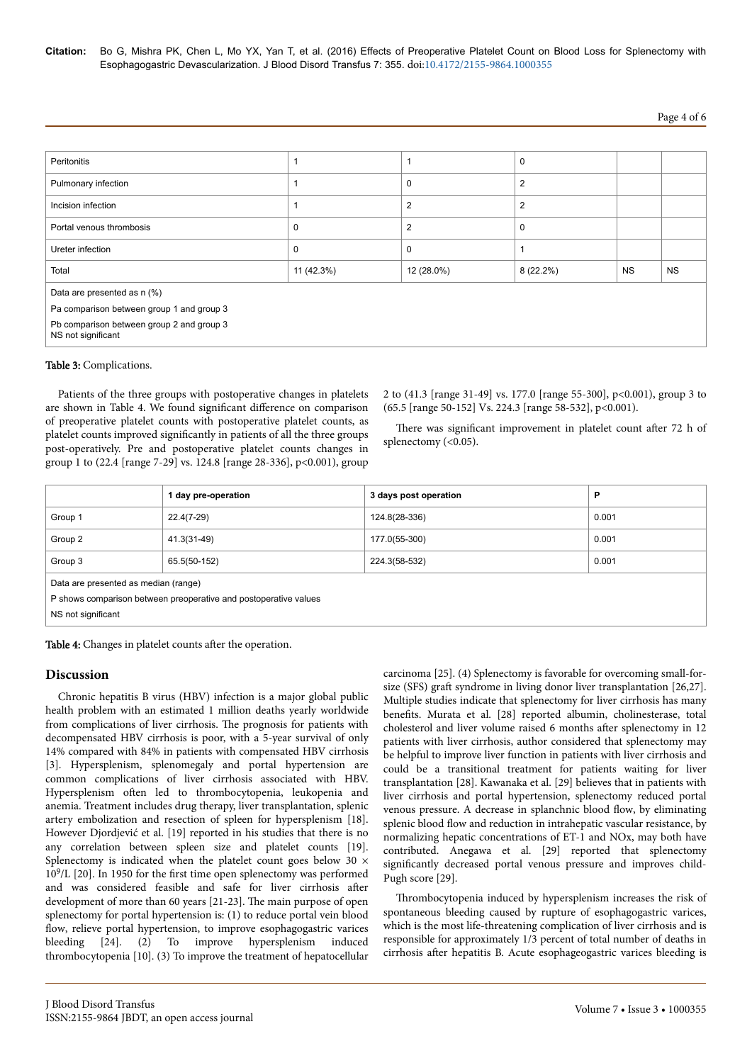**Citation:** Bo G, Mishra PK, Chen L, Mo YX, Yan T, et al. (2016) Effects of Preoperative Platelet Count on Blood Loss for Splenectomy with Esophagogastric Devascularization. J Blood Disord Transfus 7: 355. doi[:10.4172/2155-9864.1000355](http://dx.doi.org/10.4172/2155-9864.1000355)

# Page 4 of 6

| Peritonitis                                                     |             |                | 0              |           |           |  |
|-----------------------------------------------------------------|-------------|----------------|----------------|-----------|-----------|--|
| Pulmonary infection                                             |             | 0              | 2              |           |           |  |
| Incision infection                                              |             | $\overline{2}$ | $\overline{2}$ |           |           |  |
| Portal venous thrombosis                                        | $\mathbf 0$ | $\overline{2}$ | $\mathbf 0$    |           |           |  |
| Ureter infection                                                | $\mathbf 0$ | $\Omega$       |                |           |           |  |
| Total                                                           | 11 (42.3%)  | 12 (28.0%)     | $8(22.2\%)$    | <b>NS</b> | <b>NS</b> |  |
| Data are presented as n (%)                                     |             |                |                |           |           |  |
| Pa comparison between group 1 and group 3                       |             |                |                |           |           |  |
| Pb comparison between group 2 and group 3<br>NS not significant |             |                |                |           |           |  |

#### Table 3: Complications.

Patients of the three groups with postoperative changes in platelets are shown in Table 4. We found significant difference on comparison of preoperative platelet counts with postoperative platelet counts, as platelet counts improved significantly in patients of all the three groups post-operatively. Pre and postoperative platelet counts changes in group 1 to (22.4 [range 7-29] vs. 124.8 [range 28-336], p<0.001), group

2 to (41.3 [range 31-49] vs. 177.0 [range 55-300], p<0.001), group 3 to (65.5 [range 50-152] Vs. 224.3 [range 58-532], p<0.001).

There was significant improvement in platelet count after 72 h of splenectomy (<0.05).

|                                                                  | 1 day pre-operation | 3 days post operation | P     |  |  |
|------------------------------------------------------------------|---------------------|-----------------------|-------|--|--|
| Group 1                                                          | $22.4(7-29)$        | 124.8(28-336)         | 0.001 |  |  |
| Group 2                                                          | 41.3(31-49)         | 177.0(55-300)         | 0.001 |  |  |
| Group 3                                                          | 65.5(50-152)        | 224.3(58-532)         | 0.001 |  |  |
| Data are presented as median (range)                             |                     |                       |       |  |  |
| P shows comparison between preoperative and postoperative values |                     |                       |       |  |  |
| NS not significant                                               |                     |                       |       |  |  |

Table 4: Changes in platelet counts after the operation.

#### **Discussion**

Chronic hepatitis B virus (HBV) infection is a major global public health problem with an estimated 1 million deaths yearly worldwide from complications of liver cirrhosis. Нe prognosis for patients with decompensated HBV cirrhosis is poor, with a 5-year survival of only 14% compared with 84% in patients with compensated HBV cirrhosis [3]. Hypersplenism, splenomegaly and portal hypertension are common complications of liver cirrhosis associated with HBV. Hypersplenism often led to thrombocytopenia, leukopenia and anemia. Treatment includes drug therapy, liver transplantation, splenic artery embolization and resection of spleen for hypersplenism [18]. However Djordjević et al. [19] reported in his studies that there is no any correlation between spleen size and platelet counts [19]. Splenectomy is indicated when the platelet count goes below 30  $\times$ 10<sup>9</sup> /L [20]. In 1950 for the first time open splenectomy was performed and was considered feasible and safe for liver cirrhosis after development of more than 60 years [21-23]. Нe main purpose of open splenectomy for portal hypertension is: (1) to reduce portal vein blood flow, relieve portal hypertension, to improve esophagogastric varices bleeding [24]. (2) To improve hypersplenism induced thrombocytopenia [10]. (3) To improve the treatment of hepatocellular

carcinoma [25]. (4) Splenectomy is favorable for overcoming small-forsize (SFS) graft syndrome in living donor liver transplantation [26,27]. Multiple studies indicate that splenectomy for liver cirrhosis has many benefits. Murata et al. [28] reported albumin, cholinesterase, total cholesterol and liver volume raised 6 months after splenectomy in 12 patients with liver cirrhosis, author considered that splenectomy may be helpful to improve liver function in patients with liver cirrhosis and could be a transitional treatment for patients waiting for liver transplantation [28]. Kawanaka et al. [29] believes that in patients with liver cirrhosis and portal hypertension, splenectomy reduced portal venous pressure. A decrease in splanchnic blood flow, by eliminating splenic blood flow and reduction in intrahepatic vascular resistance, by normalizing hepatic concentrations of ET-1 and NOx, may both have contributed. Anegawa et al. [29] reported that splenectomy significantly decreased portal venous pressure and improves child-Pugh score [29].

Thrombocytopenia induced by hypersplenism increases the risk of spontaneous bleeding caused by rupture of esophagogastric varices, which is the most life-threatening complication of liver cirrhosis and is responsible for approximately 1/3 percent of total number of deaths in cirrhosis after hepatitis B. Acute esophageogastric varices bleeding is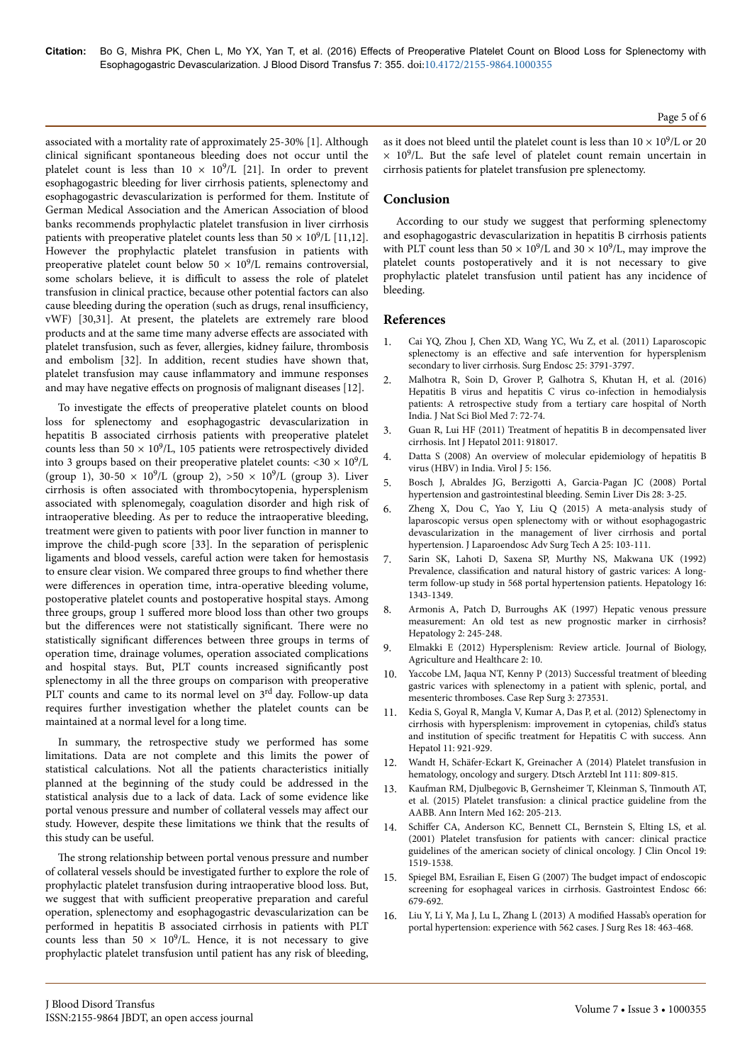associated with a mortality rate of approximately 25-30% [1]. Although clinical significant spontaneous bleeding does not occur until the platelet count is less than  $10 \times 10^9$ /L [21]. In order to prevent esophagogastric bleeding for liver cirrhosis patients, splenectomy and esophagogastric devascularization is performed for them. Institute of German Medical Association and the American Association of blood banks recommends prophylactic platelet transfusion in liver cirrhosis patients with preoperative platelet counts less than  $50 \times 10^9$ /L [11,12]. However the prophylactic platelet transfusion in patients with preoperative platelet count below  $50 \times 10^9$ /L remains controversial, some scholars believe, it is difficult to assess the role of platelet transfusion in clinical practice, because other potential factors can also cause bleeding during the operation (such as drugs, renal insufficiency, vWF) [30,31]. At present, the platelets are extremely rare blood products and at the same time many adverse effects are associated with platelet transfusion, such as fever, allergies, kidney failure, thrombosis and embolism [32]. In addition, recent studies have shown that, platelet transfusion may cause inflammatory and immune responses and may have negative effects on prognosis of malignant diseases [12].

To investigate the effects of preoperative platelet counts on blood loss for splenectomy and esophagogastric devascularization in hepatitis B associated cirrhosis patients with preoperative platelet counts less than  $50 \times 10^9$ /L, 105 patients were retrospectively divided into 3 groups based on their preoperative platelet counts:  $<$ 30  $\times$  10<sup>9</sup>/L (group 1), 30-50  $\times$  10<sup>9</sup>/L (group 2), >50  $\times$  10<sup>9</sup>/L (group 3). Liver cirrhosis is often associated with thrombocytopenia, hypersplenism associated with splenomegaly, coagulation disorder and high risk of intraoperative bleeding. As per to reduce the intraoperative bleeding, treatment were given to patients with poor liver function in manner to improve the child-pugh score [33]. In the separation of perisplenic ligaments and blood vessels, careful action were taken for hemostasis to ensure clear vision. We compared three groups to find whether there were differences in operation time, intra-operative bleeding volume, postoperative platelet counts and postoperative hospital stays. Among three groups, group 1 suffered more blood loss than other two groups but the differences were not statistically significant. There were no statistically significant differences between three groups in terms of operation time, drainage volumes, operation associated complications and hospital stays. But, PLT counts increased significantly post splenectomy in all the three groups on comparison with preoperative PLT counts and came to its normal level on 3<sup>rd</sup> day. Follow-up data requires further investigation whether the platelet counts can be maintained at a normal level for a long time.

In summary, the retrospective study we performed has some limitations. Data are not complete and this limits the power of statistical calculations. Not all the patients characteristics initially planned at the beginning of the study could be addressed in the statistical analysis due to a lack of data. Lack of some evidence like portal venous pressure and number of collateral vessels may affect our study. However, despite these limitations we think that the results of this study can be useful.

The strong relationship between portal venous pressure and number of collateral vessels should be investigated further to explore the role of prophylactic platelet transfusion during intraoperative blood loss. But, we suggest that with sufficient preoperative preparation and careful operation, splenectomy and esophagogastric devascularization can be performed in hepatitis B associated cirrhosis in patients with PLT counts less than 50  $\times$  10<sup>9</sup>/L. Hence, it is not necessary to give prophylactic platelet transfusion until patient has any risk of bleeding, Page 5 of 6

as it does not bleed until the platelet count is less than  $10 \times 10^9$ /L or 20  $\times$  10<sup>9</sup>/L. But the safe level of platelet count remain uncertain in cirrhosis patients for platelet transfusion pre splenectomy.

# **Conclusion**

According to our study we suggest that performing splenectomy and esophagogastric devascularization in hepatitis B cirrhosis patients with PLT count less than  $50 \times 10^9$ /L and  $30 \times 10^9$ /L, may improve the platelet counts postoperatively and it is not necessary to give prophylactic platelet transfusion until patient has any incidence of bleeding.

## **References**

- 1. [Cai YQ, Zhou J, Chen XD, Wang YC, Wu Z, et al. \(2011\) Laparoscopic](http://www.ncbi.nlm.nih.gov/pubmed/21681623) splenectomy is an effective [and safe intervention for hypersplenism](http://www.ncbi.nlm.nih.gov/pubmed/21681623) [secondary to liver cirrhosis. Surg Endosc 25: 3791-3797.](http://www.ncbi.nlm.nih.gov/pubmed/21681623)
- 2. [Malhotra R, Soin D, Grover P, Galhotra S, Khutan H, et al. \(2016\)](http://www.ncbi.nlm.nih.gov/pmc/articles/PMC4780172/) [Hepatitis B virus and hepatitis C virus co-infection in hemodialysis](http://www.ncbi.nlm.nih.gov/pmc/articles/PMC4780172/) [patients: A retrospective study from a tertiary care hospital of North](http://www.ncbi.nlm.nih.gov/pmc/articles/PMC4780172/) [India. J Nat Sci Biol Med 7: 72-74.](http://www.ncbi.nlm.nih.gov/pmc/articles/PMC4780172/)
- 3. [Guan R, Lui HF \(2011\) Treatment of hepatitis B in decompensated liver](http://www.ncbi.nlm.nih.gov/pubmed/21994876) [cirrhosis. Int J Hepatol 2011: 918017.](http://www.ncbi.nlm.nih.gov/pubmed/21994876)
- 4. [Datta S \(2008\) An overview of molecular epidemiology of hepatitis B](http://www.ncbi.nlm.nih.gov/pubmed/19099581) [virus \(HBV\) in India. Virol J 5: 156.](http://www.ncbi.nlm.nih.gov/pubmed/19099581)
- 5. [Bosch J, Abraldes JG, Berzigotti A, Garcia-Pagan JC \(2008\) Portal](http://www.ncbi.nlm.nih.gov/pubmed/18293274) [hypertension and gastrointestinal bleeding. Semin Liver Dis 28: 3-25.](http://www.ncbi.nlm.nih.gov/pubmed/18293274)
- 6. [Zheng X, Dou C, Yao Y, Liu Q \(2015\) A meta-analysis study of](http://www.ncbi.nlm.nih.gov/pubmed/25683070) [laparoscopic versus open splenectomy with or without esophagogastric](http://www.ncbi.nlm.nih.gov/pubmed/25683070) [devascularization in the management of liver cirrhosis and portal](http://www.ncbi.nlm.nih.gov/pubmed/25683070) [hypertension. J Laparoendosc Adv Surg Tech A 25: 103-111.](http://www.ncbi.nlm.nih.gov/pubmed/25683070)
- 7. [Sarin SK, Lahoti D, Saxena SP, Murthy NS, Makwana UK \(1992\)](http://www.ncbi.nlm.nih.gov/pubmed/1446890) Prevalence, classification [and natural history of gastric varices: A long](http://www.ncbi.nlm.nih.gov/pubmed/1446890)[term follow-up study in 568 portal hypertension patients. Hepatology 16:](http://www.ncbi.nlm.nih.gov/pubmed/1446890) [1343-1349.](http://www.ncbi.nlm.nih.gov/pubmed/1446890)
- 8. [Armonis A, Patch D, Burroughs AK \(1997\) Hepatic venous pressure](http://www.ncbi.nlm.nih.gov/pubmed/8985299) [measurement: An old test as new prognostic marker in cirrhosis?](http://www.ncbi.nlm.nih.gov/pubmed/8985299) [Hepatology 2: 245-248.](http://www.ncbi.nlm.nih.gov/pubmed/8985299)
- 9. [Elmakki E \(2012\) Hypersplenism: Review article. Journal of Biology,](http://www.iiste.org/Journals/index.php/JBAH/article/view/3279) [Agriculture and Healthcare 2: 10.](http://www.iiste.org/Journals/index.php/JBAH/article/view/3279)
- 10. [Yaccobe LM, Jaqua NT, Kenny P \(2013\) Successful treatment of bleeding](http://www.hindawi.com/journals/cris/2013/273531/) [gastric varices with splenectomy in a patient with splenic, portal, and](http://www.hindawi.com/journals/cris/2013/273531/) [mesenteric thromboses. Case Rep Surg 3: 273531.](http://www.hindawi.com/journals/cris/2013/273531/)
- 11. [Kedia S, Goyal R, Mangla V, Kumar A, Das P, et al. \(2012\) Splenectomy in](http://www.ncbi.nlm.nih.gov/pubmed/23109457) [cirrhosis with hypersplenism: improvement in cytopenias, child's status](http://www.ncbi.nlm.nih.gov/pubmed/23109457) and institution of specific [treatment for Hepatitis C with success. Ann](http://www.ncbi.nlm.nih.gov/pubmed/23109457) [Hepatol 11: 921-929.](http://www.ncbi.nlm.nih.gov/pubmed/23109457)
- 12. [Wandt H, Schäfer-Eckart K, Greinacher A \(2014\) Platelet transfusion in](http://www.ncbi.nlm.nih.gov/pubmed/25512006) [hematology, oncology and surgery. Dtsch Arztebl Int 111: 809-815.](http://www.ncbi.nlm.nih.gov/pubmed/25512006)
- 13. [Kaufman RM, Djulbegovic B, Gernsheimer T, Kleinman S, Tinmouth AT,](http://www.ncbi.nlm.nih.gov/pubmed/25383671) [et al. \(2015\) Platelet transfusion: a clinical practice guideline from the](http://www.ncbi.nlm.nih.gov/pubmed/25383671) [AABB. Ann Intern Med 162: 205-213.](http://www.ncbi.nlm.nih.gov/pubmed/25383671)
- 14. Schiffer [CA, Anderson KC, Bennett CL, Bernstein S, Elting LS, et al.](http://www.ncbi.nlm.nih.gov/pubmed/11230498) [\(2001\) Platelet transfusion for patients with cancer: clinical practice](http://www.ncbi.nlm.nih.gov/pubmed/11230498) [guidelines of the american society of clinical oncology. J Clin Oncol 19:](http://www.ncbi.nlm.nih.gov/pubmed/11230498) [1519-1538.](http://www.ncbi.nlm.nih.gov/pubmed/11230498)
- 15. [Spiegel BM, Esrailian E, Eisen G \(2007\)](http://www.ncbi.nlm.nih.gov/pubmed/17905009) Нe budget impact of endoscopic [screening for esophageal varices in cirrhosis. Gastrointest Endosc 66:](http://www.ncbi.nlm.nih.gov/pubmed/17905009) [679-692.](http://www.ncbi.nlm.nih.gov/pubmed/17905009)
- 16. [Liu Y, Li Y, Ma J, Lu L, Zhang L \(2013\) A](http://www.ncbi.nlm.nih.gov/pubmed/23773713) modified Hassab's operation for [portal hypertension: experience with 562 cases. J Surg Res 18: 463-468.](http://www.ncbi.nlm.nih.gov/pubmed/23773713)